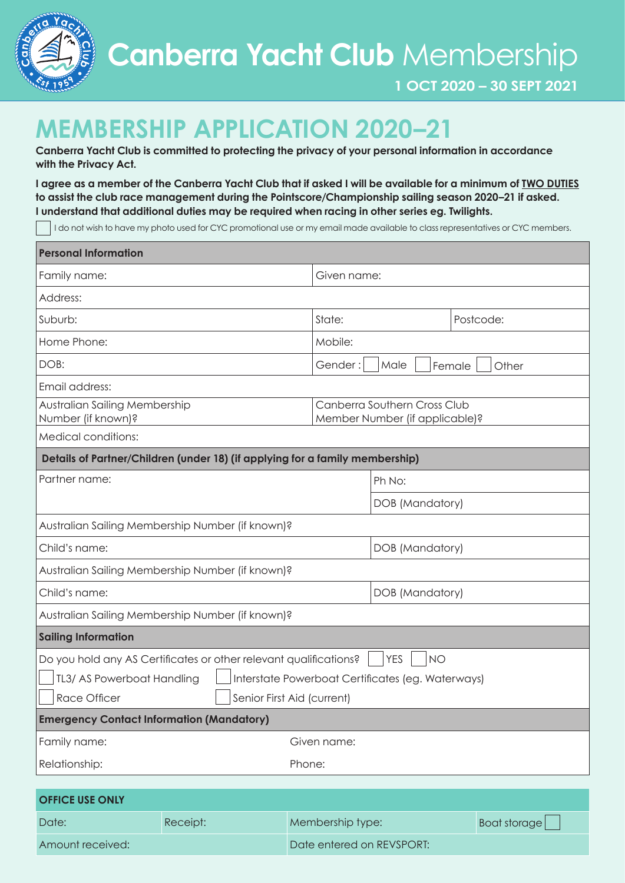

# **MEMBERSHIP APPLICATION 2020–21**

**Canberra Yacht Club is committed to protecting the privacy of your personal information in accordance with the Privacy Act.** 

**I agree as a member of the Canberra Yacht Club that if asked I will be available for a minimum of TWO DUTIES to assist the club race management during the Pointscore/Championship sailing season 2020–21 if asked. I understand that additional duties may be required when racing in other series eg. Twilights.**

I do not wish to have my photo used for CYC promotional use or my email made available to class representatives or CYC members.

| <b>Personal Information</b>                                                                  |          |             |                                                                |              |  |
|----------------------------------------------------------------------------------------------|----------|-------------|----------------------------------------------------------------|--------------|--|
| Family name:                                                                                 |          |             | Given name:                                                    |              |  |
| Address:                                                                                     |          |             |                                                                |              |  |
| Suburb:                                                                                      |          | State:      | Postcode:                                                      |              |  |
| Home Phone:                                                                                  |          | Mobile:     |                                                                |              |  |
| DOB:                                                                                         |          | Gender:     | Male<br>Female<br>Other                                        |              |  |
| Email address:                                                                               |          |             |                                                                |              |  |
| Australian Sailing Membership<br>Number (if known)?                                          |          |             | Canberra Southern Cross Club<br>Member Number (if applicable)? |              |  |
| Medical conditions:                                                                          |          |             |                                                                |              |  |
| Details of Partner/Children (under 18) (if applying for a family membership)                 |          |             |                                                                |              |  |
| Partner name:                                                                                |          |             | Ph No:                                                         |              |  |
|                                                                                              |          |             | DOB (Mandatory)                                                |              |  |
| Australian Sailing Membership Number (if known)?                                             |          |             |                                                                |              |  |
| Child's name:                                                                                |          |             | DOB (Mandatory)                                                |              |  |
| Australian Sailing Membership Number (if known)?                                             |          |             |                                                                |              |  |
| Child's name:                                                                                |          |             | DOB (Mandatory)                                                |              |  |
| Australian Sailing Membership Number (if known)?                                             |          |             |                                                                |              |  |
| <b>Sailing Information</b>                                                                   |          |             |                                                                |              |  |
| Do you hold any AS Certificates or other relevant qualifications?<br><b>YES</b><br><b>NO</b> |          |             |                                                                |              |  |
| TL3/ AS Powerboat Handling<br>Interstate Powerboat Certificates (eg. Waterways)              |          |             |                                                                |              |  |
| <b>Race Officer</b><br>Senior First Aid (current)                                            |          |             |                                                                |              |  |
| <b>Emergency Contact Information (Mandatory)</b>                                             |          |             |                                                                |              |  |
| Family name:                                                                                 |          | Given name: |                                                                |              |  |
| Relationship:                                                                                |          | Phone:      |                                                                |              |  |
|                                                                                              |          |             |                                                                |              |  |
| <b>OFFICE USE ONLY</b>                                                                       |          |             |                                                                |              |  |
| Date:                                                                                        | Receipt: |             | Membership type:                                               | Boat storage |  |

Amount received: Date entered on REVSPORT: